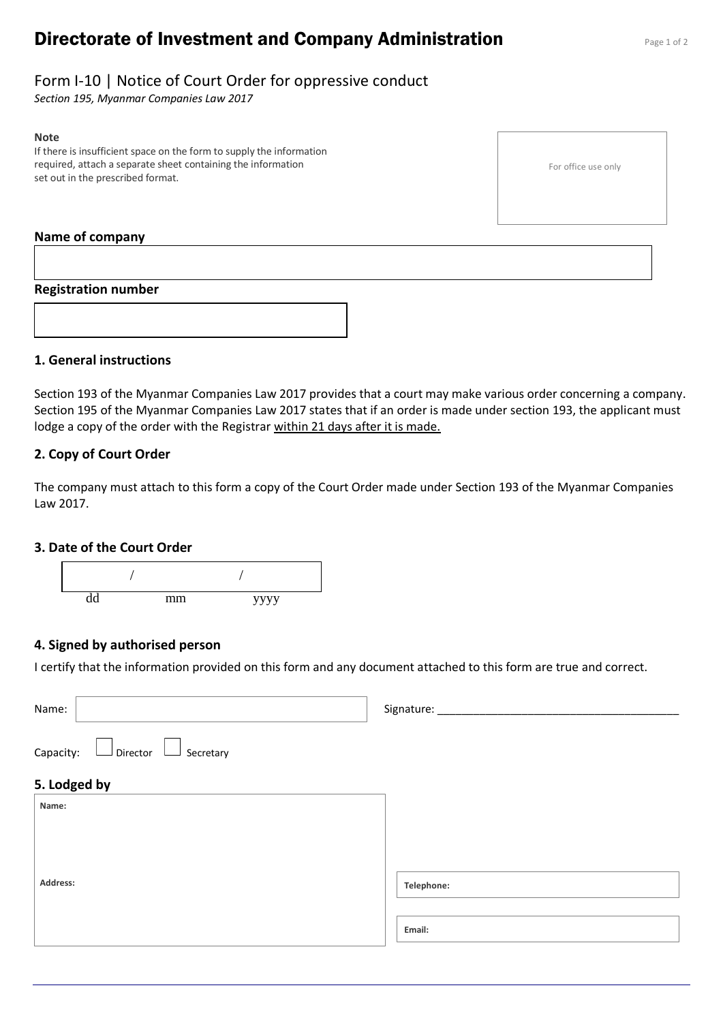# **Directorate of Investment and Company Administration** Page 1 of 2

# Form I-10 | Notice of Court Order for oppressive conduct

*Section 195, Myanmar Companies Law 2017*

#### **Note**

If there is insufficient space on the form to supply the information required, attach a separate sheet containing the information set out in the prescribed format.

#### For office use only

#### **Name of company**

#### **Registration number**



### **1. General instructions**

Section 193 of the Myanmar Companies Law 2017 provides that a court may make various order concerning a company. Section 195 of the Myanmar Companies Law 2017 states that if an order is made under section 193, the applicant must lodge a copy of the order with the Registrar within 21 days after it is made.

# **2. Copy of Court Order**

The company must attach to this form a copy of the Court Order made under Section 193 of the Myanmar Companies Law 2017.

#### **3. Date of the Court Order**



## **4. Signed by authorised person**

I certify that the information provided on this form and any document attached to this form are true and correct.

| Name:                           | Signature: _____ |
|---------------------------------|------------------|
| Director Secretary<br>Capacity: |                  |
| 5. Lodged by                    |                  |
| Name:                           |                  |
|                                 |                  |
|                                 |                  |
| Address:                        | Telephone:       |
|                                 |                  |
|                                 | Email:           |